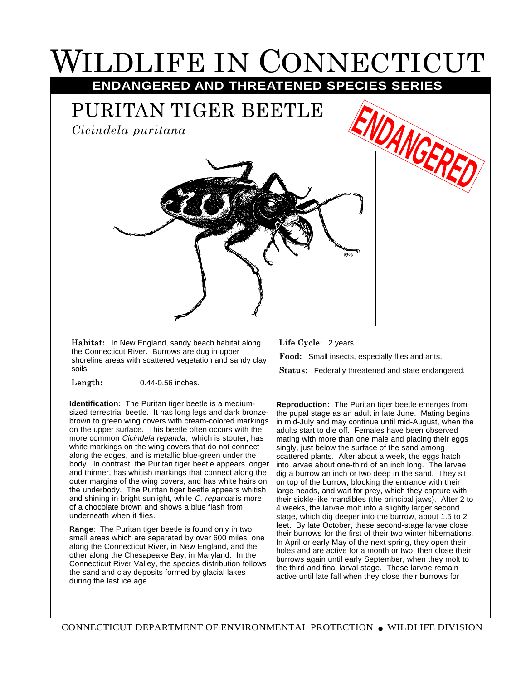## WILDLIFE IN CONNECTICUT **ENDANGERED AND THREATENED SPECIES SERIES**

PURITAN TIGER BEETLE

*Cicindela puritana*



**Habitat:** In New England, sandy beach habitat along the Connecticut River. Burrows are dug in upper shoreline areas with scattered vegetation and sandy clay soils.

**Length:** 0.44-0.56 inches.

**Identification:** The Puritan tiger beetle is a mediumsized terrestrial beetle. It has long legs and dark bronzebrown to green wing covers with cream-colored markings on the upper surface. This beetle often occurs with the more common *Cicindela repanda*, which is stouter, has white markings on the wing covers that do not connect along the edges, and is metallic blue-green under the body. In contrast, the Puritan tiger beetle appears longer and thinner, has whitish markings that connect along the outer margins of the wing covers, and has white hairs on the underbody. The Puritan tiger beetle appears whitish and shining in bright sunlight, while C. repanda is more of a chocolate brown and shows a blue flash from underneath when it flies.

**Range**: The Puritan tiger beetle is found only in two small areas which are separated by over 600 miles, one along the Connecticut River, in New England, and the other along the Chesapeake Bay, in Maryland. In the Connecticut River Valley, the species distribution follows the sand and clay deposits formed by glacial lakes during the last ice age.

**Life Cycle:** 2 years. **Food:** Small insects, especially flies and ants. **Status:** Federally threatened and state endangered.

**Reproduction:** The Puritan tiger beetle emerges from the pupal stage as an adult in late June. Mating begins in mid-July and may continue until mid-August, when the adults start to die off. Females have been observed mating with more than one male and placing their eggs singly, just below the surface of the sand among scattered plants. After about a week, the eggs hatch into larvae about one-third of an inch long. The larvae dig a burrow an inch or two deep in the sand. They sit on top of the burrow, blocking the entrance with their large heads, and wait for prey, which they capture with their sickle-like mandibles (the principal jaws). After 2 to 4 weeks, the larvae molt into a slightly larger second stage, which dig deeper into the burrow, about 1.5 to 2 feet. By late October, these second-stage larvae close their burrows for the first of their two winter hibernations. In April or early May of the next spring, they open their holes and are active for a month or two, then close their burrows again until early September, when they molt to the third and final larval stage. These larvae remain active until late fall when they close their burrows for

CONNECTICUT DEPARTMENT OF ENVIRONMENTAL PROTECTION ● WILDLIFE DIVISION